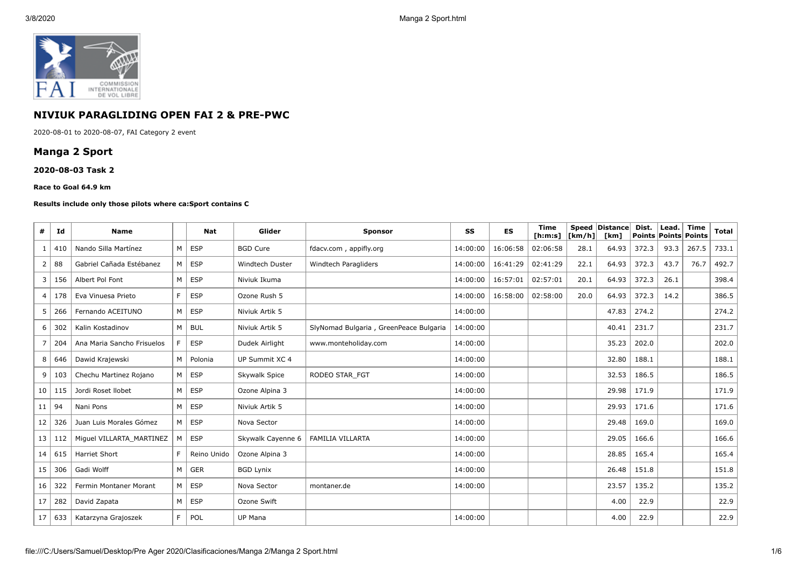

## **NIVIUK PARAGLIDING OPEN FAI 2 & PRE-PWC**

2020-08-01 to 2020-08-07, FAI Category 2 event

# **Manga 2 Sport**

#### **2020-08-03 Task 2**

#### **Race to Goal 64.9 km**

#### **Results include only those pilots where ca:Sport contains C**

| #  | Id  | <b>Name</b>                |    | <b>Nat</b>  | Glider            | <b>Sponsor</b>                         | SS       | <b>ES</b> | <b>Time</b><br>[ <b>h</b> : <b>m</b> : <b>s</b> ] | [km/h] | Speed Distance<br>[km] | Dist. | Lead.<br>Points Points Points | <b>Time</b> | Total |
|----|-----|----------------------------|----|-------------|-------------------|----------------------------------------|----------|-----------|---------------------------------------------------|--------|------------------------|-------|-------------------------------|-------------|-------|
|    | 410 | Nando Silla Martínez       | M  | <b>ESP</b>  | <b>BGD Cure</b>   | fdacv.com, appifly.org                 | 14:00:00 | 16:06:58  | 02:06:58                                          | 28.1   | 64.93                  | 372.3 | 93.3                          | 267.5       | 733.1 |
| 2  | 88  | Gabriel Cañada Estébanez   | M  | <b>ESP</b>  | Windtech Duster   | Windtech Paragliders                   | 14:00:00 | 16:41:29  | 02:41:29                                          | 22.1   | 64.93                  | 372.3 | 43.7                          | 76.7        | 492.7 |
| 3  | 156 | Albert Pol Font            | M  | <b>ESP</b>  | Niviuk Ikuma      |                                        | 14:00:00 | 16:57:01  | 02:57:01                                          | 20.1   | 64.93                  | 372.3 | 26.1                          |             | 398.4 |
| 4  | 178 | Eva Vinuesa Prieto         | F. | <b>ESP</b>  | Ozone Rush 5      |                                        | 14:00:00 | 16:58:00  | 02:58:00                                          | 20.0   | 64.93                  | 372.3 | 14.2                          |             | 386.5 |
| 5  | 266 | Fernando ACEITUNO          | M  | <b>ESP</b>  | Niviuk Artik 5    |                                        | 14:00:00 |           |                                                   |        | 47.83                  | 274.2 |                               |             | 274.2 |
| 6  | 302 | Kalin Kostadinov           | M  | <b>BUL</b>  | Niviuk Artik 5    | SlyNomad Bulgaria, GreenPeace Bulgaria | 14:00:00 |           |                                                   |        | 40.41                  | 231.7 |                               |             | 231.7 |
| 7  | 204 | Ana Maria Sancho Frisuelos | F. | <b>ESP</b>  | Dudek Airlight    | www.monteholiday.com                   | 14:00:00 |           |                                                   |        | 35.23                  | 202.0 |                               |             | 202.0 |
| 8  | 646 | Dawid Krajewski            | M  | Polonia     | UP Summit XC 4    |                                        | 14:00:00 |           |                                                   |        | 32.80                  | 188.1 |                               |             | 188.1 |
| 9  | 103 | Chechu Martinez Rojano     | M  | <b>ESP</b>  | Skywalk Spice     | RODEO STAR FGT                         | 14:00:00 |           |                                                   |        | 32.53                  | 186.5 |                               |             | 186.5 |
| 10 | 115 | Jordi Roset Ilobet         | M  | <b>ESP</b>  | Ozone Alpina 3    |                                        | 14:00:00 |           |                                                   |        | 29.98                  | 171.9 |                               |             | 171.9 |
| 11 | -94 | Nani Pons                  | M  | <b>ESP</b>  | Niviuk Artik 5    |                                        | 14:00:00 |           |                                                   |        | 29.93                  | 171.6 |                               |             | 171.6 |
| 12 | 326 | Juan Luis Morales Gómez    | M  | <b>ESP</b>  | Nova Sector       |                                        | 14:00:00 |           |                                                   |        | 29.48                  | 169.0 |                               |             | 169.0 |
| 13 | 112 | Miguel VILLARTA_MARTINEZ   | M  | <b>ESP</b>  | Skywalk Cayenne 6 | <b>FAMILIA VILLARTA</b>                | 14:00:00 |           |                                                   |        | 29.05                  | 166.6 |                               |             | 166.6 |
| 14 | 615 | <b>Harriet Short</b>       | F. | Reino Unido | Ozone Alpina 3    |                                        | 14:00:00 |           |                                                   |        | 28.85                  | 165.4 |                               |             | 165.4 |
| 15 | 306 | Gadi Wolff                 | M  | <b>GER</b>  | <b>BGD Lynix</b>  |                                        | 14:00:00 |           |                                                   |        | 26.48                  | 151.8 |                               |             | 151.8 |
| 16 | 322 | Fermin Montaner Morant     | M  | <b>ESP</b>  | Nova Sector       | montaner.de                            | 14:00:00 |           |                                                   |        | 23.57                  | 135.2 |                               |             | 135.2 |
| 17 | 282 | David Zapata               | M  | <b>ESP</b>  | Ozone Swift       |                                        |          |           |                                                   |        | 4.00                   | 22.9  |                               |             | 22.9  |
| 17 | 633 | Katarzyna Grajoszek        | F. | POL         | UP Mana           |                                        | 14:00:00 |           |                                                   |        | 4.00                   | 22.9  |                               |             | 22.9  |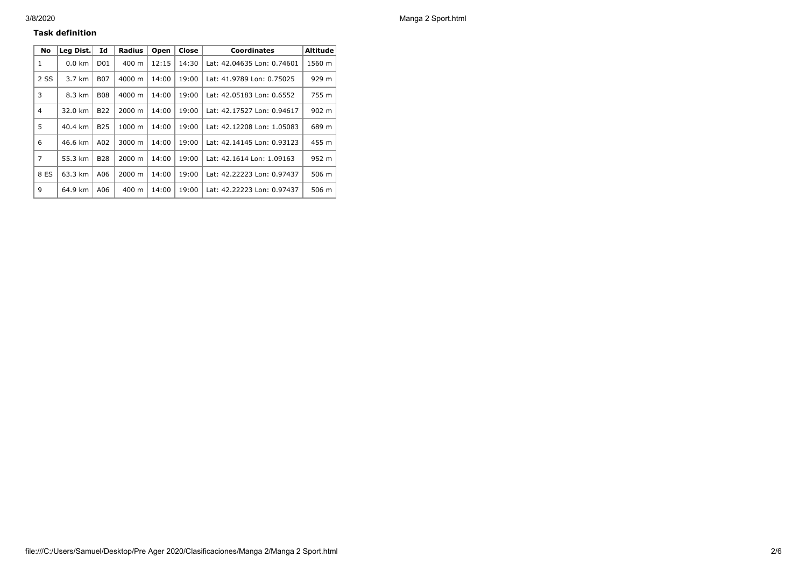### **Task definition**

| No             | Lea Dist.        | Id              | <b>Radius</b>   | Open  | Close | <b>Coordinates</b>         | <b>Altitude</b> |
|----------------|------------------|-----------------|-----------------|-------|-------|----------------------------|-----------------|
| 1              | $0.0 \text{ km}$ | D <sub>01</sub> | $400 \text{ m}$ | 12:15 | 14:30 | Lat: 42.04635 Lon: 0.74601 | 1560 m          |
| 2 SS           | 3.7 km           | <b>B07</b>      | 4000 m          | 14:00 | 19:00 | Lat: 41.9789 Lon: 0.75025  | 929 m           |
| 3              | 8.3 km           | <b>B08</b>      | 4000 m          | 14:00 | 19:00 | Lat: 42.05183 Lon: 0.6552  | 755 m           |
| 4              | 32.0 km          | <b>B22</b>      | $2000 \; m$     | 14:00 | 19:00 | Lat: 42.17527 Lon: 0.94617 | 902 m           |
| 5              | 40.4 km          | <b>B25</b>      | 1000 m          | 14:00 | 19:00 | Lat: 42.12208 Lon: 1.05083 | 689 m           |
| 6              | 46.6 km          | A02             | 3000 m          | 14:00 | 19:00 | Lat: 42.14145 Lon: 0.93123 | 455 m           |
| $\overline{7}$ | 55.3 km          | <b>B28</b>      | 2000 m          | 14:00 | 19:00 | Lat: 42.1614 Lon: 1.09163  | 952 m           |
| 8 ES           | 63.3 km          | A06             | 2000 m          | 14:00 | 19:00 | Lat: 42.22223 Lon: 0.97437 | 506 m           |
| 9              | 64.9 km          | A06             | 400 m           | 14:00 | 19:00 | Lat: 42.22223 Lon: 0.97437 | 506 m           |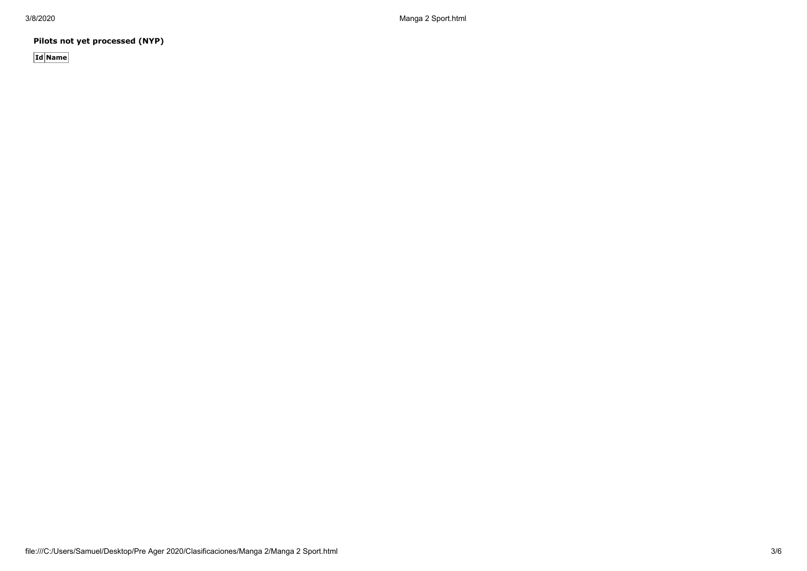3/8/2020 Manga 2 Sport.html

**Pilots not yet processed (NYP)**

**Id Name**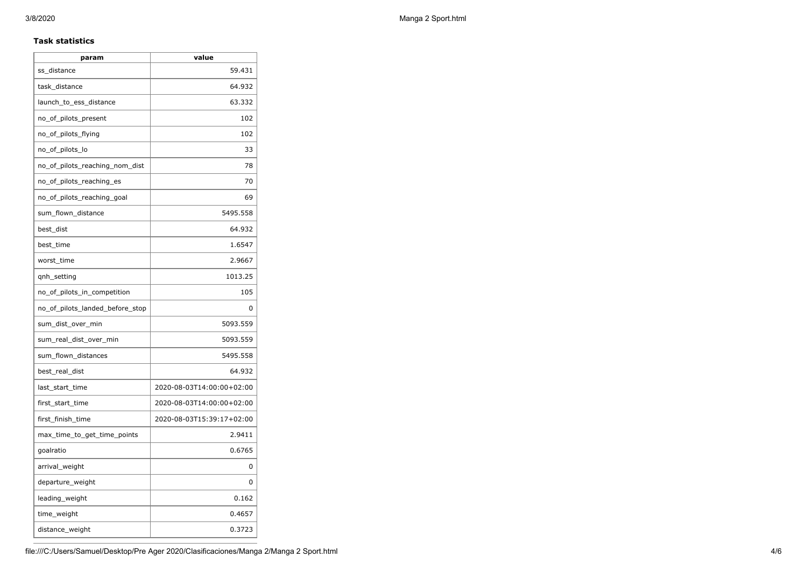### **Task statistics**

| param                           | value                     |
|---------------------------------|---------------------------|
| ss_distance                     | 59.431                    |
| task_distance                   | 64.932                    |
| launch_to_ess_distance          | 63.332                    |
| no_of_pilots_present            | 102                       |
| no_of_pilots_flying             | 102                       |
| no_of_pilots_lo                 | 33                        |
| no_of_pilots_reaching_nom_dist  | 78                        |
| no_of_pilots_reaching_es        | 70                        |
| no of pilots reaching goal      | 69                        |
| sum_flown_distance              | 5495.558                  |
| best_dist                       | 64.932                    |
| best_time                       | 1.6547                    |
| worst_time                      | 2.9667                    |
| qnh_setting                     | 1013.25                   |
| no_of_pilots_in_competition     | 105                       |
| no_of_pilots_landed_before_stop | 0                         |
| sum_dist_over_min               | 5093.559                  |
| sum_real_dist_over_min          | 5093.559                  |
| sum_flown_distances             | 5495.558                  |
| best_real_dist                  | 64.932                    |
| last_start_time                 | 2020-08-03T14:00:00+02:00 |
| first_start_time                | 2020-08-03T14:00:00+02:00 |
| first_finish_time               | 2020-08-03T15:39:17+02:00 |
| max_time_to_get_time_points     | 2.9411                    |
| goalratio                       | 0.6765                    |
| arrival_weight                  | 0                         |
| departure_weight                | 0                         |
| leading_weight                  | 0.162                     |
| time_weight                     | 0.4657                    |
| distance_weight                 | 0.3723                    |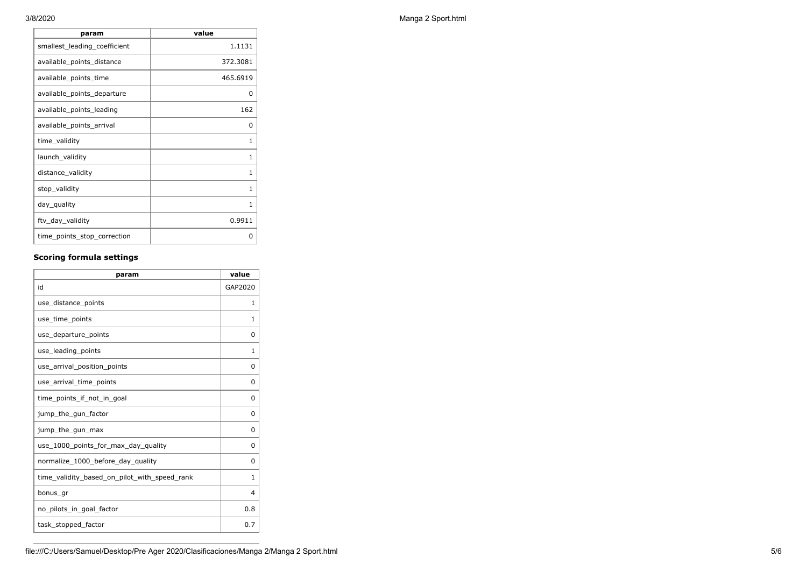| value    |
|----------|
| 1.1131   |
| 372.3081 |
| 465.6919 |
| 0        |
| 162      |
| 0        |
| 1        |
| 1        |
| 1        |
| 1        |
| 1        |
| 0.9911   |
| O        |
|          |

## **Scoring formula settings**

| param                                        | value        |
|----------------------------------------------|--------------|
| id                                           | GAP2020      |
| use_distance_points                          | 1            |
| use_time_points                              | 1            |
| use_departure_points                         | $\Omega$     |
| use_leading_points                           | 1            |
| use_arrival_position_points                  | 0            |
| use_arrival_time_points                      | 0            |
| time points if not in goal                   | 0            |
| jump_the_gun_factor                          | $\Omega$     |
| jump_the_gun_max                             | 0            |
| use_1000_points_for_max_day_quality          | 0            |
| normalize_1000_before_day_quality            | $\Omega$     |
| time_validity_based_on_pilot_with_speed_rank | $\mathbf{1}$ |
| bonus gr                                     | 4            |
| no_pilots_in_goal_factor                     | 0.8          |
| task_stopped_factor                          | 0.7          |